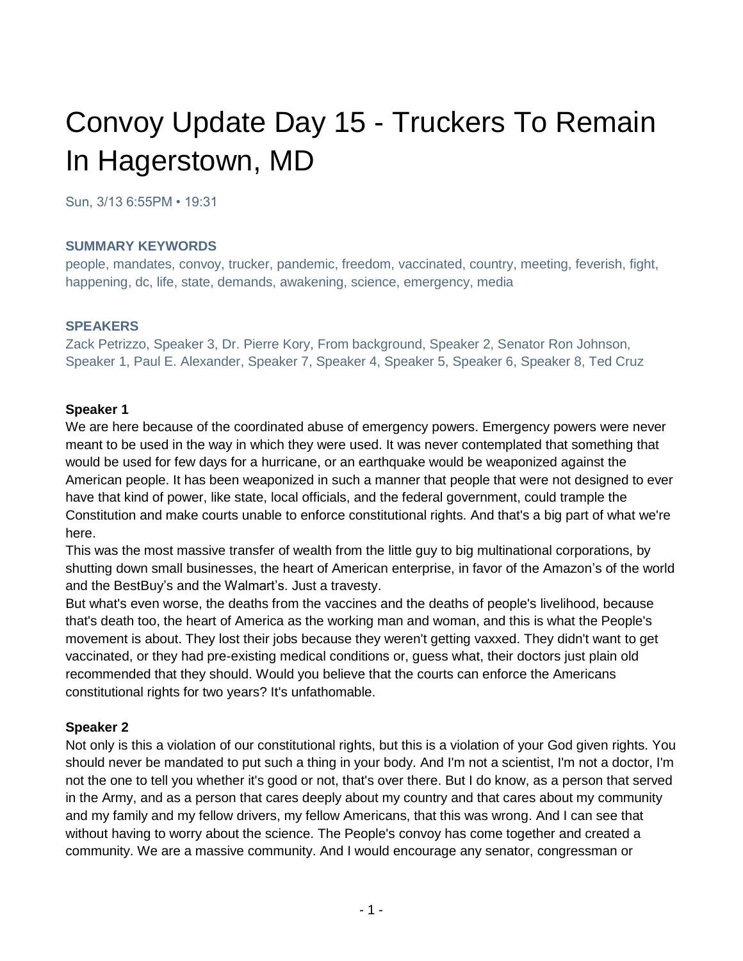# Convoy Update Day 15 - Truckers To Remain In Hagerstown, MD

Sun, 3/13 6:55PM • 19:31

#### **SUMMARY KEYWORDS**

people, mandates, convoy, trucker, pandemic, freedom, vaccinated, country, meeting, feverish, fight, happening, dc, life, state, demands, awakening, science, emergency, media

#### **SPEAKERS**

Zack Petrizzo, Speaker 3, Dr. Pierre Kory, From background, Speaker 2, Senator Ron Johnson, Speaker 1, Paul E. Alexander, Speaker 7, Speaker 4, Speaker 5, Speaker 6, Speaker 8, Ted Cruz

#### **Speaker 1**

We are here because of the coordinated abuse of emergency powers. Emergency powers were never meant to be used in the way in which they were used. It was never contemplated that something that would be used for few days for a hurricane, or an earthquake would be weaponized against the American people. It has been weaponized in such a manner that people that were not designed to ever have that kind of power, like state, local officials, and the federal government, could trample the Constitution and make courts unable to enforce constitutional rights. And that's a big part of what we're here.

This was the most massive transfer of wealth from the little guy to big multinational corporations, by shutting down small businesses, the heart of American enterprise, in favor of the Amazon's of the world and the BestBuy's and the Walmart's. Just a travesty.

But what's even worse, the deaths from the vaccines and the deaths of people's livelihood, because that's death too, the heart of America as the working man and woman, and this is what the People's movement is about. They lost their jobs because they weren't getting vaxxed. They didn't want to get vaccinated, or they had pre-existing medical conditions or, guess what, their doctors just plain old recommended that they should. Would you believe that the courts can enforce the Americans constitutional rights for two years? It's unfathomable.

#### **Speaker 2**

Not only is this a violation of our constitutional rights, but this is a violation of your God given rights. You should never be mandated to put such a thing in your body. And I'm not a scientist, I'm not a doctor, I'm not the one to tell you whether it's good or not, that's over there. But I do know, as a person that served in the Army, and as a person that cares deeply about my country and that cares about my community and my family and my fellow drivers, my fellow Americans, that this was wrong. And I can see that without having to worry about the science. The People's convoy has come together and created a community. We are a massive community. And I would encourage any senator, congressman or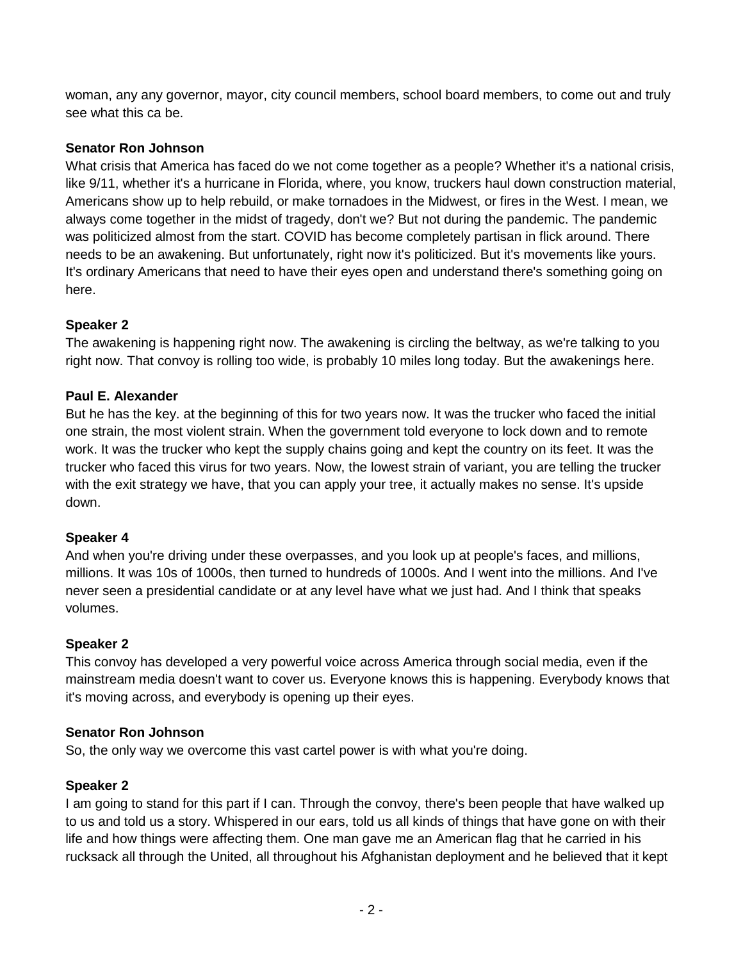woman, any any governor, mayor, city council members, school board members, to come out and truly see what this ca be.

#### **Senator Ron Johnson**

What crisis that America has faced do we not come together as a people? Whether it's a national crisis, like 9/11, whether it's a hurricane in Florida, where, you know, truckers haul down construction material, Americans show up to help rebuild, or make tornadoes in the Midwest, or fires in the West. I mean, we always come together in the midst of tragedy, don't we? But not during the pandemic. The pandemic was politicized almost from the start. COVID has become completely partisan in flick around. There needs to be an awakening. But unfortunately, right now it's politicized. But it's movements like yours. It's ordinary Americans that need to have their eyes open and understand there's something going on here.

#### **Speaker 2**

The awakening is happening right now. The awakening is circling the beltway, as we're talking to you right now. That convoy is rolling too wide, is probably 10 miles long today. But the awakenings here.

#### **Paul E. Alexander**

But he has the key. at the beginning of this for two years now. It was the trucker who faced the initial one strain, the most violent strain. When the government told everyone to lock down and to remote work. It was the trucker who kept the supply chains going and kept the country on its feet. It was the trucker who faced this virus for two years. Now, the lowest strain of variant, you are telling the trucker with the exit strategy we have, that you can apply your tree, it actually makes no sense. It's upside down.

#### **Speaker 4**

And when you're driving under these overpasses, and you look up at people's faces, and millions, millions. It was 10s of 1000s, then turned to hundreds of 1000s. And I went into the millions. And I've never seen a presidential candidate or at any level have what we just had. And I think that speaks volumes.

#### **Speaker 2**

This convoy has developed a very powerful voice across America through social media, even if the mainstream media doesn't want to cover us. Everyone knows this is happening. Everybody knows that it's moving across, and everybody is opening up their eyes.

#### **Senator Ron Johnson**

So, the only way we overcome this vast cartel power is with what you're doing.

#### **Speaker 2**

I am going to stand for this part if I can. Through the convoy, there's been people that have walked up to us and told us a story. Whispered in our ears, told us all kinds of things that have gone on with their life and how things were affecting them. One man gave me an American flag that he carried in his rucksack all through the United, all throughout his Afghanistan deployment and he believed that it kept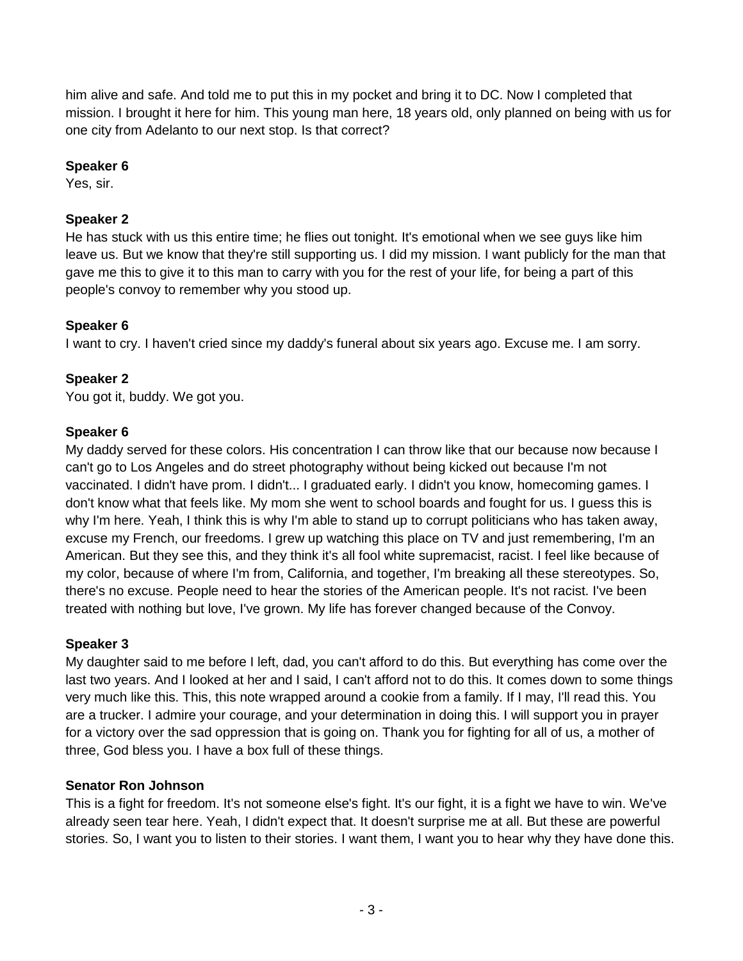him alive and safe. And told me to put this in my pocket and bring it to DC. Now I completed that mission. I brought it here for him. This young man here, 18 years old, only planned on being with us for one city from Adelanto to our next stop. Is that correct?

## **Speaker 6**

Yes, sir.

## **Speaker 2**

He has stuck with us this entire time; he flies out tonight. It's emotional when we see guys like him leave us. But we know that they're still supporting us. I did my mission. I want publicly for the man that gave me this to give it to this man to carry with you for the rest of your life, for being a part of this people's convoy to remember why you stood up.

## **Speaker 6**

I want to cry. I haven't cried since my daddy's funeral about six years ago. Excuse me. I am sorry.

## **Speaker 2**

You got it, buddy. We got you.

#### **Speaker 6**

My daddy served for these colors. His concentration I can throw like that our because now because I can't go to Los Angeles and do street photography without being kicked out because I'm not vaccinated. I didn't have prom. I didn't... I graduated early. I didn't you know, homecoming games. I don't know what that feels like. My mom she went to school boards and fought for us. I guess this is why I'm here. Yeah, I think this is why I'm able to stand up to corrupt politicians who has taken away, excuse my French, our freedoms. I grew up watching this place on TV and just remembering, I'm an American. But they see this, and they think it's all fool white supremacist, racist. I feel like because of my color, because of where I'm from, California, and together, I'm breaking all these stereotypes. So, there's no excuse. People need to hear the stories of the American people. It's not racist. I've been treated with nothing but love, I've grown. My life has forever changed because of the Convoy.

#### **Speaker 3**

My daughter said to me before I left, dad, you can't afford to do this. But everything has come over the last two years. And I looked at her and I said, I can't afford not to do this. It comes down to some things very much like this. This, this note wrapped around a cookie from a family. If I may, I'll read this. You are a trucker. I admire your courage, and your determination in doing this. I will support you in prayer for a victory over the sad oppression that is going on. Thank you for fighting for all of us, a mother of three, God bless you. I have a box full of these things.

#### **Senator Ron Johnson**

This is a fight for freedom. It's not someone else's fight. It's our fight, it is a fight we have to win. We've already seen tear here. Yeah, I didn't expect that. It doesn't surprise me at all. But these are powerful stories. So, I want you to listen to their stories. I want them, I want you to hear why they have done this.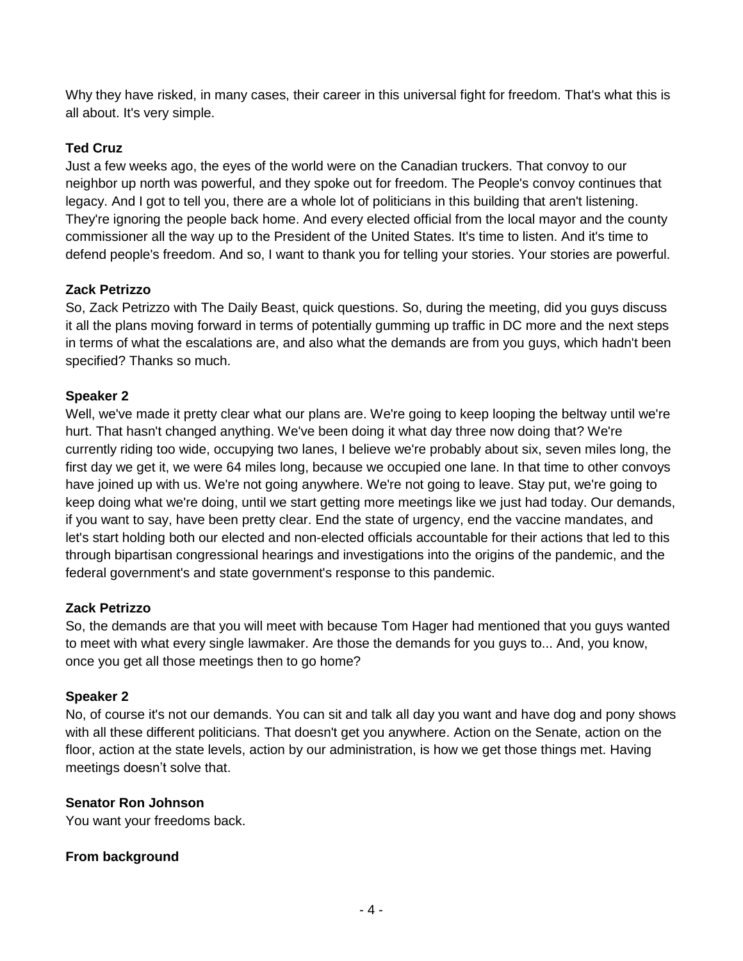Why they have risked, in many cases, their career in this universal fight for freedom. That's what this is all about. It's very simple.

## **Ted Cruz**

Just a few weeks ago, the eyes of the world were on the Canadian truckers. That convoy to our neighbor up north was powerful, and they spoke out for freedom. The People's convoy continues that legacy. And I got to tell you, there are a whole lot of politicians in this building that aren't listening. They're ignoring the people back home. And every elected official from the local mayor and the county commissioner all the way up to the President of the United States. It's time to listen. And it's time to defend people's freedom. And so, I want to thank you for telling your stories. Your stories are powerful.

#### **Zack Petrizzo**

So, Zack Petrizzo with The Daily Beast, quick questions. So, during the meeting, did you guys discuss it all the plans moving forward in terms of potentially gumming up traffic in DC more and the next steps in terms of what the escalations are, and also what the demands are from you guys, which hadn't been specified? Thanks so much.

## **Speaker 2**

Well, we've made it pretty clear what our plans are. We're going to keep looping the beltway until we're hurt. That hasn't changed anything. We've been doing it what day three now doing that? We're currently riding too wide, occupying two lanes, I believe we're probably about six, seven miles long, the first day we get it, we were 64 miles long, because we occupied one lane. In that time to other convoys have joined up with us. We're not going anywhere. We're not going to leave. Stay put, we're going to keep doing what we're doing, until we start getting more meetings like we just had today. Our demands, if you want to say, have been pretty clear. End the state of urgency, end the vaccine mandates, and let's start holding both our elected and non-elected officials accountable for their actions that led to this through bipartisan congressional hearings and investigations into the origins of the pandemic, and the federal government's and state government's response to this pandemic.

#### **Zack Petrizzo**

So, the demands are that you will meet with because Tom Hager had mentioned that you guys wanted to meet with what every single lawmaker. Are those the demands for you guys to... And, you know, once you get all those meetings then to go home?

#### **Speaker 2**

No, of course it's not our demands. You can sit and talk all day you want and have dog and pony shows with all these different politicians. That doesn't get you anywhere. Action on the Senate, action on the floor, action at the state levels, action by our administration, is how we get those things met. Having meetings doesn't solve that.

#### **Senator Ron Johnson**

You want your freedoms back.

#### **From background**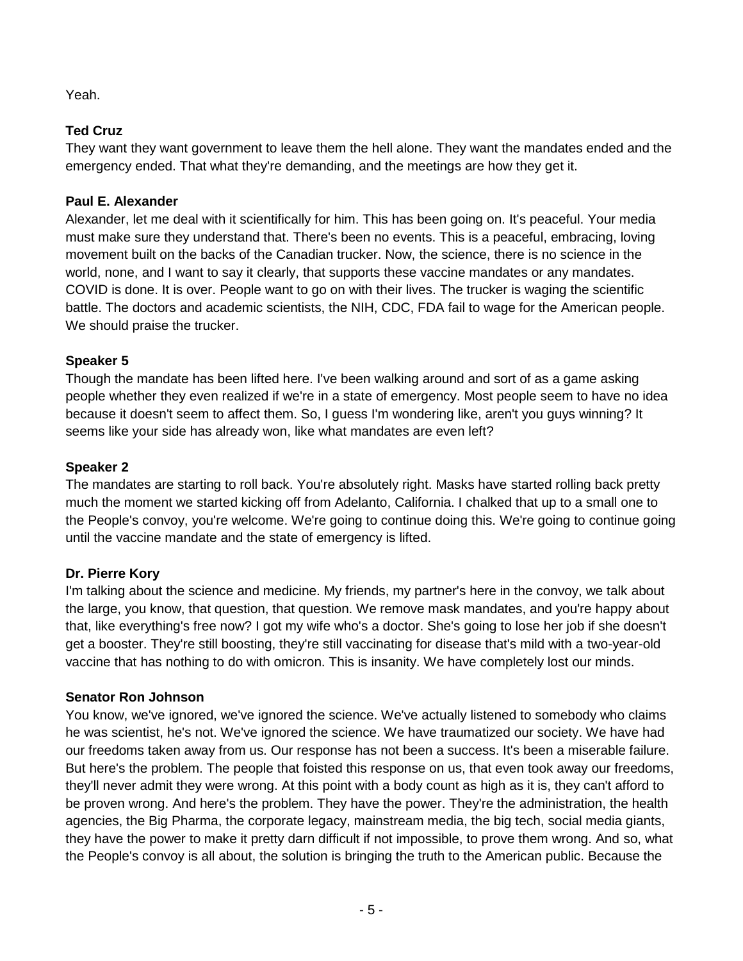Yeah.

# **Ted Cruz**

They want they want government to leave them the hell alone. They want the mandates ended and the emergency ended. That what they're demanding, and the meetings are how they get it.

## **Paul E. Alexander**

Alexander, let me deal with it scientifically for him. This has been going on. It's peaceful. Your media must make sure they understand that. There's been no events. This is a peaceful, embracing, loving movement built on the backs of the Canadian trucker. Now, the science, there is no science in the world, none, and I want to say it clearly, that supports these vaccine mandates or any mandates. COVID is done. It is over. People want to go on with their lives. The trucker is waging the scientific battle. The doctors and academic scientists, the NIH, CDC, FDA fail to wage for the American people. We should praise the trucker.

# **Speaker 5**

Though the mandate has been lifted here. I've been walking around and sort of as a game asking people whether they even realized if we're in a state of emergency. Most people seem to have no idea because it doesn't seem to affect them. So, I guess I'm wondering like, aren't you guys winning? It seems like your side has already won, like what mandates are even left?

## **Speaker 2**

The mandates are starting to roll back. You're absolutely right. Masks have started rolling back pretty much the moment we started kicking off from Adelanto, California. I chalked that up to a small one to the People's convoy, you're welcome. We're going to continue doing this. We're going to continue going until the vaccine mandate and the state of emergency is lifted.

# **Dr. Pierre Kory**

I'm talking about the science and medicine. My friends, my partner's here in the convoy, we talk about the large, you know, that question, that question. We remove mask mandates, and you're happy about that, like everything's free now? I got my wife who's a doctor. She's going to lose her job if she doesn't get a booster. They're still boosting, they're still vaccinating for disease that's mild with a two-year-old vaccine that has nothing to do with omicron. This is insanity. We have completely lost our minds.

#### **Senator Ron Johnson**

You know, we've ignored, we've ignored the science. We've actually listened to somebody who claims he was scientist, he's not. We've ignored the science. We have traumatized our society. We have had our freedoms taken away from us. Our response has not been a success. It's been a miserable failure. But here's the problem. The people that foisted this response on us, that even took away our freedoms, they'll never admit they were wrong. At this point with a body count as high as it is, they can't afford to be proven wrong. And here's the problem. They have the power. They're the administration, the health agencies, the Big Pharma, the corporate legacy, mainstream media, the big tech, social media giants, they have the power to make it pretty darn difficult if not impossible, to prove them wrong. And so, what the People's convoy is all about, the solution is bringing the truth to the American public. Because the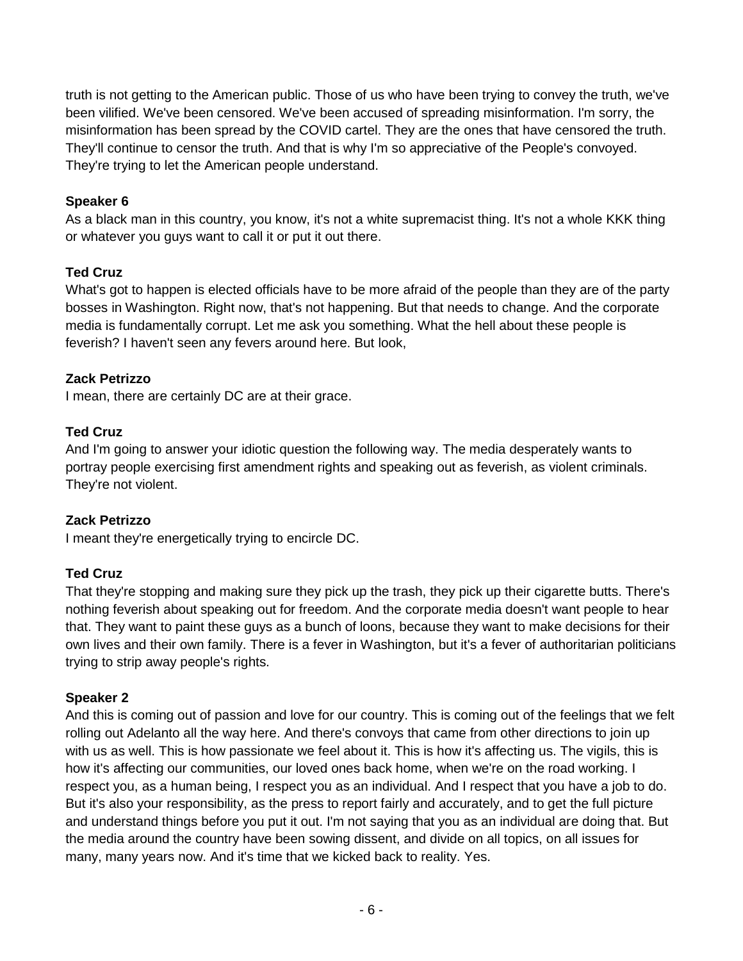truth is not getting to the American public. Those of us who have been trying to convey the truth, we've been vilified. We've been censored. We've been accused of spreading misinformation. I'm sorry, the misinformation has been spread by the COVID cartel. They are the ones that have censored the truth. They'll continue to censor the truth. And that is why I'm so appreciative of the People's convoyed. They're trying to let the American people understand.

## **Speaker 6**

As a black man in this country, you know, it's not a white supremacist thing. It's not a whole KKK thing or whatever you guys want to call it or put it out there.

## **Ted Cruz**

What's got to happen is elected officials have to be more afraid of the people than they are of the party bosses in Washington. Right now, that's not happening. But that needs to change. And the corporate media is fundamentally corrupt. Let me ask you something. What the hell about these people is feverish? I haven't seen any fevers around here. But look,

## **Zack Petrizzo**

I mean, there are certainly DC are at their grace.

## **Ted Cruz**

And I'm going to answer your idiotic question the following way. The media desperately wants to portray people exercising first amendment rights and speaking out as feverish, as violent criminals. They're not violent.

#### **Zack Petrizzo**

I meant they're energetically trying to encircle DC.

# **Ted Cruz**

That they're stopping and making sure they pick up the trash, they pick up their cigarette butts. There's nothing feverish about speaking out for freedom. And the corporate media doesn't want people to hear that. They want to paint these guys as a bunch of loons, because they want to make decisions for their own lives and their own family. There is a fever in Washington, but it's a fever of authoritarian politicians trying to strip away people's rights.

#### **Speaker 2**

And this is coming out of passion and love for our country. This is coming out of the feelings that we felt rolling out Adelanto all the way here. And there's convoys that came from other directions to join up with us as well. This is how passionate we feel about it. This is how it's affecting us. The vigils, this is how it's affecting our communities, our loved ones back home, when we're on the road working. I respect you, as a human being, I respect you as an individual. And I respect that you have a job to do. But it's also your responsibility, as the press to report fairly and accurately, and to get the full picture and understand things before you put it out. I'm not saying that you as an individual are doing that. But the media around the country have been sowing dissent, and divide on all topics, on all issues for many, many years now. And it's time that we kicked back to reality. Yes.